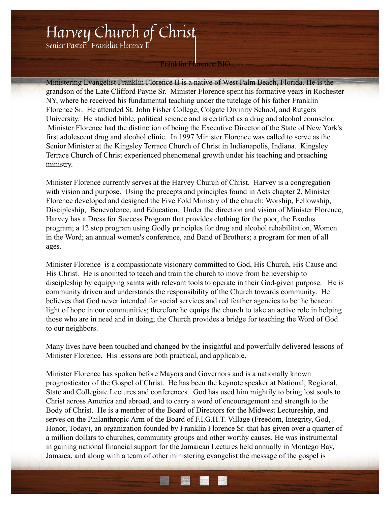## Harvey Church of Christ

Senior Pastor: Franklin Florence II

## Franklin Florence BIO

Ministering Evangelist Franklin Florence II is a native of West Palm Beach, Florida. He is the grandson of the Late Clifford Payne Sr. Minister Florence spent his formative years in Rochester NY, where he received his fundamental teaching under the tutelage of his father Franklin Florence Sr. He attended St. John Fisher College, Colgate Divinity School, and Rutgers University. He studied bible, political science and is certified as a drug and alcohol counselor. Minister Florence had the distinction of being the Executive Director of the State of New York's first adolescent drug and alcohol clinic. In 1997 Minister Florence was called to serve as the Senior Minister at the Kingsley Terrace Church of Christ in Indianapolis, Indiana. Kingsley Terrace Church of Christ experienced phenomenal growth under his teaching and preaching ministry.

Minister Florence currently serves at the Harvey Church of Christ. Harvey is a congregation with vision and purpose. Using the precepts and principles found in Acts chapter 2, Minister Florence developed and designed the Five Fold Ministry of the church: Worship, Fellowship, Discipleship, Benevolence, and Education. Under the direction and vision of Minister Florence, Harvey has a Dress for Success Program that provides clothing for the poor, the Exodus program; a 12 step program using Godly principles for drug and alcohol rehabilitation, Women in the Word; an annual women's conference, and Band of Brothers; a program for men of all ages.

Minister Florence is a compassionate visionary committed to God, His Church, His Cause and His Christ. He is anointed to teach and train the church to move from believership to discipleship by equipping saints with relevant tools to operate in their God-given purpose. He is community driven and understands the responsibility of the Church towards community. He believes that God never intended for social services and red feather agencies to be the beacon light of hope in our communities; therefore he equips the church to take an active role in helping those who are in need and in doing; the Church provides a bridge for teaching the Word of God to our neighbors.

Many lives have been touched and changed by the insightful and powerfully delivered lessons of Minister Florence. His lessons are both practical, and applicable.

Minister Florence has spoken before Mayors and Governors and is a nationally known prognosticator of the Gospel of Christ. He has been the keynote speaker at National, Regional, State and Collegiate Lectures and conferences. God has used him mightily to bring lost souls to Christ across America and abroad, and to carry a word of encouragement and strength to the Body of Christ. He is a member of the Board of Directors for the Midwest Lectureship, and serves on the Philanthropic Arm of the Board of F.I.G.H.T. Village (Freedom, Integrity, God, Honor, Today), an organization founded by Franklin Florence Sr. that has given over a quarter of a million dollars to churches, community groups and other worthy causes. He was instrumental in gaining national financial support for the Jamaican Lectures held annually in Montego Bay, Jamaica, and along with a team of other ministering evangelist the message of the gospel is